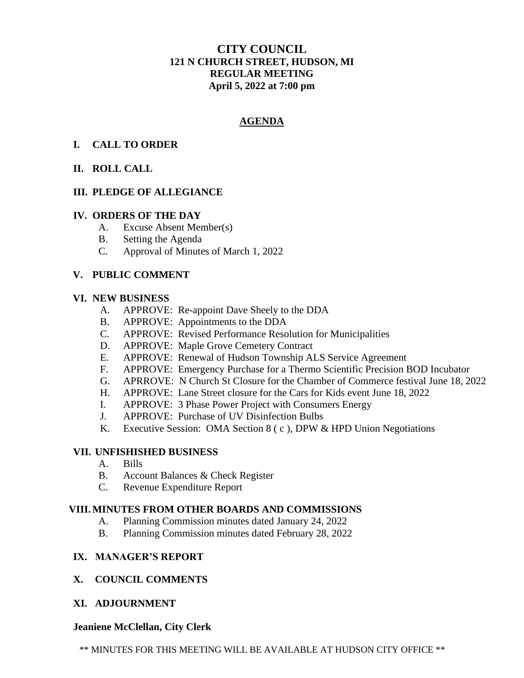# **CITY COUNCIL 121 N CHURCH STREET, HUDSON, MI REGULAR MEETING April 5, 2022 at 7:00 pm**

# **AGENDA**

# **I. CALL TO ORDER**

# **II. ROLL CALL**

### **III. PLEDGE OF ALLEGIANCE**

#### **IV. ORDERS OF THE DAY**

- A. Excuse Absent Member(s)
- B. Setting the Agenda
- C. Approval of Minutes of March 1, 2022

### **V. PUBLIC COMMENT**

#### **VI. NEW BUSINESS**

- A. APPROVE: Re-appoint Dave Sheely to the DDA
- B. APPROVE: Appointments to the DDA
- C. APPROVE: Revised Performance Resolution for Municipalities
- D. APPROVE: Maple Grove Cemetery Contract
- E. APPROVE: Renewal of Hudson Township ALS Service Agreement
- F. APPROVE: Emergency Purchase for a Thermo Scientific Precision BOD Incubator
- G. APRROVE: N Church St Closure for the Chamber of Commerce festival June 18, 2022
- H. APPROVE: Lane Street closure for the Cars for Kids event June 18, 2022
- I. APPROVE: 3 Phase Power Project with Consumers Energy
- J. APPROVE: Purchase of UV Disinfection Bulbs
- K. Executive Session: OMA Section 8 ( c ), DPW & HPD Union Negotiations

#### **VII. UNFISHISHED BUSINESS**

- A. Bills
- B. Account Balances & Check Register
- C. Revenue Expenditure Report

#### **VIII. MINUTES FROM OTHER BOARDS AND COMMISSIONS**

- A. Planning Commission minutes dated January 24, 2022
- B. Planning Commission minutes dated February 28, 2022

### **IX. MANAGER'S REPORT**

#### **X. COUNCIL COMMENTS**

**XI. ADJOURNMENT**

#### **Jeaniene McClellan, City Clerk**

\*\* MINUTES FOR THIS MEETING WILL BE AVAILABLE AT HUDSON CITY OFFICE \*\*